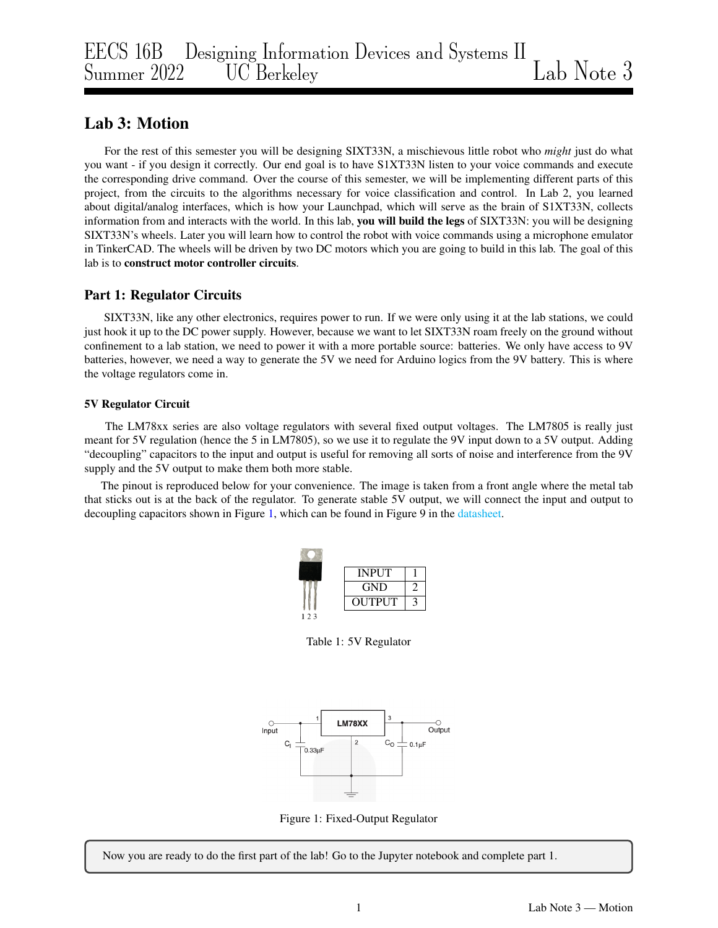# <span id="page-0-1"></span>Lab 3: Motion

For the rest of this semester you will be designing SIXT33N, a mischievous little robot who *might* just do what you want - if you design it correctly. Our end goal is to have S1XT33N listen to your voice commands and execute the corresponding drive command. Over the course of this semester, we will be implementing different parts of this project, from the circuits to the algorithms necessary for voice classification and control. In Lab 2, you learned about digital/analog interfaces, which is how your Launchpad, which will serve as the brain of S1XT33N, collects information from and interacts with the world. In this lab, you will build the legs of SIXT33N: you will be designing SIXT33N's wheels. Later you will learn how to control the robot with voice commands using a microphone emulator in TinkerCAD. The wheels will be driven by two DC motors which you are going to build in this lab. The goal of this lab is to construct motor controller circuits.

## Part 1: Regulator Circuits

SIXT33N, like any other electronics, requires power to run. If we were only using it at the lab stations, we could just hook it up to the DC power supply. However, because we want to let SIXT33N roam freely on the ground without confinement to a lab station, we need to power it with a more portable source: batteries. We only have access to 9V batteries, however, we need a way to generate the 5V we need for Arduino logics from the 9V battery. This is where the voltage regulators come in.

#### 5V Regulator Circuit

The LM78xx series are also voltage regulators with several fixed output voltages. The LM7805 is really just meant for 5V regulation (hence the 5 in LM7805), so we use it to regulate the 9V input down to a 5V output. Adding "decoupling" capacitors to the input and output is useful for removing all sorts of noise and interference from the 9V supply and the 5V output to make them both more stable.

The pinout is reproduced below for your convenience. The image is taken from a front angle where the metal tab that sticks out is at the back of the regulator. To generate stable 5V output, we will connect the input and output to decoupling capacitors shown in Figure [1,](#page-0-0) which can be found in Figure 9 in the [datasheet.](https://www.mouser.com/datasheet/2/149/LM7805-1010961.pdf)



Table 1: 5V Regulator



Figure 1: Fixed-Output Regulator

<span id="page-0-0"></span>Now you are ready to do the first part of the lab! Go to the Jupyter notebook and complete part 1.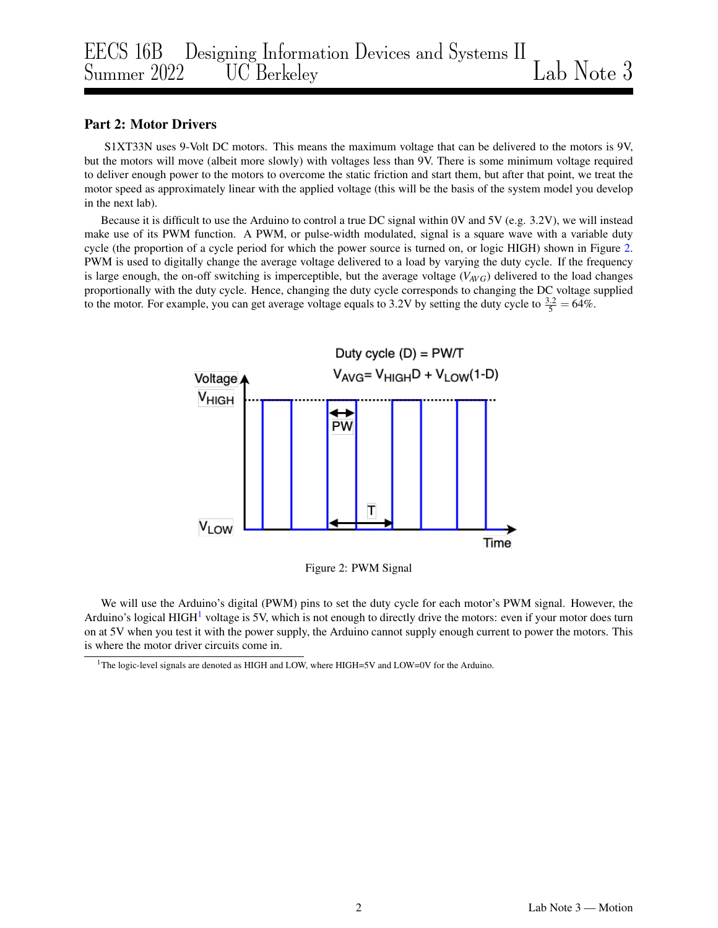### Part 2: Motor Drivers

S1XT33N uses 9-Volt DC motors. This means the maximum voltage that can be delivered to the motors is 9V, but the motors will move (albeit more slowly) with voltages less than 9V. There is some minimum voltage required to deliver enough power to the motors to overcome the static friction and start them, but after that point, we treat the motor speed as approximately linear with the applied voltage (this will be the basis of the system model you develop in the next lab).

<span id="page-1-0"></span>Because it is difficult to use the Arduino to control a true DC signal within 0V and 5V (e.g. 3.2V), we will instead make use of its PWM function. A PWM, or pulse-width modulated, signal is a square wave with a variable duty cycle (the proportion of a cycle period for which the power source is turned on, or logic HIGH) shown in Figure [2.](#page-1-0) PWM is used to digitally change the average voltage delivered to a load by varying the duty cycle. If the frequency is large enough, the on-off switching is imperceptible, but the average voltage  $(V_{AVG})$  delivered to the load changes proportionally with the duty cycle. Hence, changing the duty cycle corresponds to changing the DC voltage supplied to the motor. For example, you can get average voltage equals to 3.2V by setting the duty cycle to  $\frac{3.2}{5} = 64\%$ .



Figure 2: PWM Signal

We will use the Arduino's digital (PWM) pins to set the duty cycle for each motor's PWM signal. However, the Arduino's logical  $H I G H<sup>1</sup>$  $H I G H<sup>1</sup>$  $H I G H<sup>1</sup>$  voltage is 5V, which is not enough to directly drive the motors: even if your motor does turn on at 5V when you test it with the power supply, the Arduino cannot supply enough current to power the motors. This is where the motor driver circuits come in.

<sup>&</sup>lt;sup>1</sup>The logic-level signals are denoted as HIGH and LOW, where HIGH=5V and LOW=0V for the Arduino.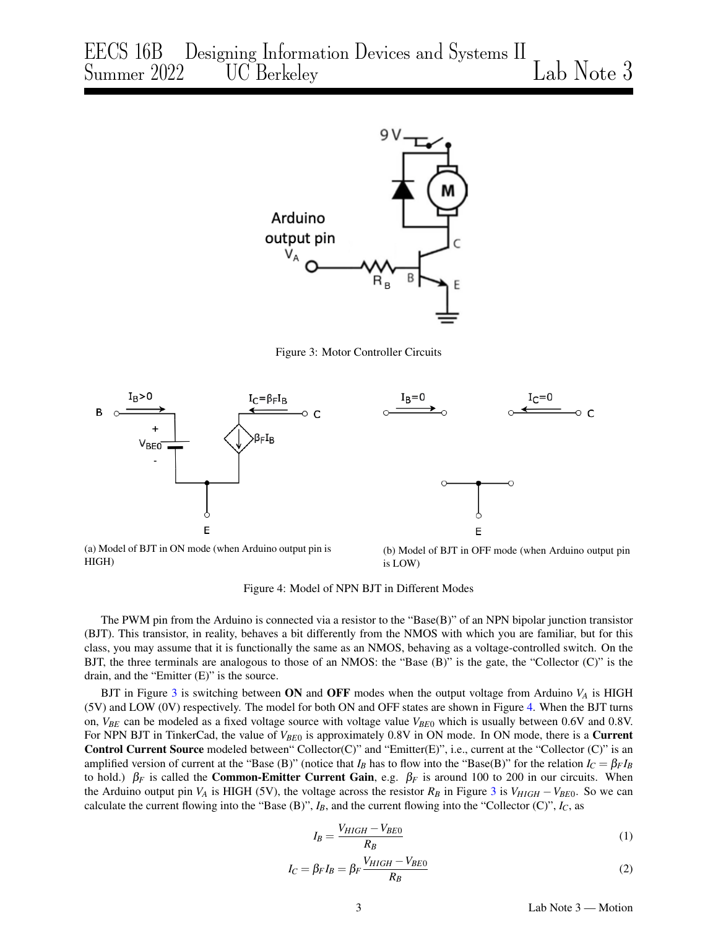<span id="page-2-0"></span>

Figure 3: Motor Controller Circuits

<span id="page-2-1"></span>

is LOW)

Figure 4: Model of NPN BJT in Different Modes

The PWM pin from the Arduino is connected via a resistor to the "Base(B)" of an NPN bipolar junction transistor (BJT). This transistor, in reality, behaves a bit differently from the NMOS with which you are familiar, but for this class, you may assume that it is functionally the same as an NMOS, behaving as a voltage-controlled switch. On the BJT, the three terminals are analogous to those of an NMOS: the "Base (B)" is the gate, the "Collector (C)" is the drain, and the "Emitter (E)" is the source.

BJT in Figure [3](#page-2-0) is switching between ON and OFF modes when the output voltage from Arduino *V<sup>A</sup>* is HIGH (5V) and LOW (0V) respectively. The model for both ON and OFF states are shown in Figure [4.](#page-2-1) When the BJT turns on, *VBE* can be modeled as a fixed voltage source with voltage value *VBE*<sup>0</sup> which is usually between 0.6V and 0.8V. For NPN BJT in TinkerCad, the value of  $V_{BE0}$  is approximately 0.8V in ON mode. In ON mode, there is a **Current Control Current Source** modeled between" Collector(C)" and "Emitter(E)", i.e., current at the "Collector (C)" is an amplified version of current at the "Base (B)" (notice that  $I_B$  has to flow into the "Base(B)" for the relation  $I_C = \beta_F I_B$ to hold.)  $β<sub>F</sub>$  is called the **Common-Emitter Current Gain**, e.g.  $β<sub>F</sub>$  is around 100 to 200 in our circuits. When the Arduino output pin  $V_A$  is HIGH (5V), the voltage across the resistor  $R_B$  in Figure [3](#page-2-0) is  $V_{HIGH} - V_{BE0}$ . So we can calculate the current flowing into the "Base  $(B)$ ",  $I_B$ , and the current flowing into the "Collector  $(C)$ ",  $I_C$ , as

<span id="page-2-2"></span>
$$
I_B = \frac{V_{HIGH} - V_{BE0}}{R_B} \tag{1}
$$

<span id="page-2-3"></span>
$$
I_C = \beta_F I_B = \beta_F \frac{V_{HIGH} - V_{BE0}}{R_B} \tag{2}
$$